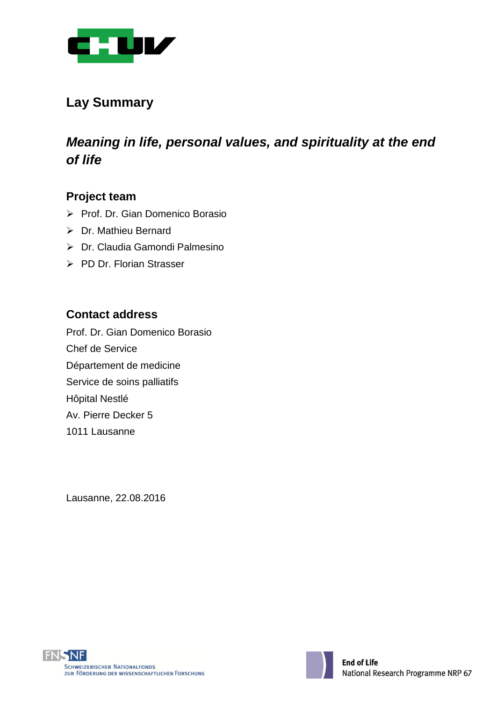

# **Lay Summary**

# *Meaning in life, personal values, and spirituality at the end of life*

### **Project team**

- ▶ Prof. Dr. Gian Domenico Borasio
- Dr. Mathieu Bernard
- Dr. Claudia Gamondi Palmesino
- PD Dr. Florian Strasser

## **Contact address**

Prof. Dr. Gian Domenico Borasio Chef de Service Département de medicine Service de soins palliatifs Hôpital Nestlé Av. Pierre Decker 5 1011 Lausanne

Lausanne, 22.08.2016



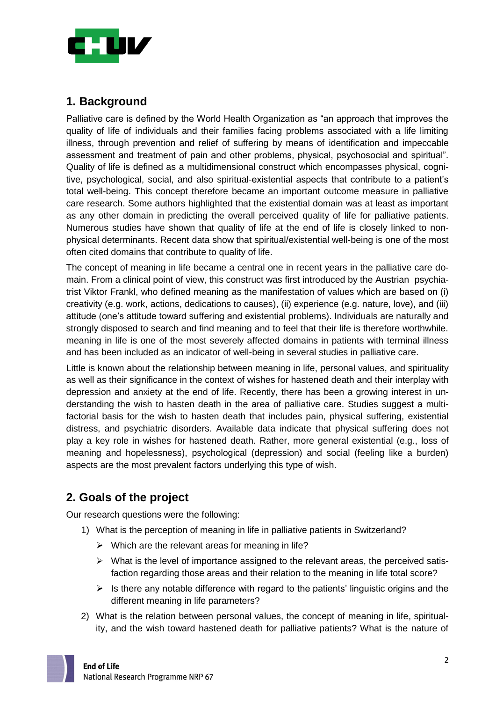

# **1. Background**

Palliative care is defined by the World Health Organization as "an approach that improves the quality of life of individuals and their families facing problems associated with a life limiting illness, through prevention and relief of suffering by means of identification and impeccable assessment and treatment of pain and other problems, physical, psychosocial and spiritual". Quality of life is defined as a multidimensional construct which encompasses physical, cognitive, psychological, social, and also spiritual-existential aspects that contribute to a patient's total well-being. This concept therefore became an important outcome measure in palliative care research. Some authors highlighted that the existential domain was at least as important as any other domain in predicting the overall perceived quality of life for palliative patients. Numerous studies have shown that quality of life at the end of life is closely linked to nonphysical determinants. Recent data show that spiritual/existential well-being is one of the most often cited domains that contribute to quality of life.

The concept of meaning in life became a central one in recent years in the palliative care domain. From a clinical point of view, this construct was first introduced by the Austrian psychiatrist Viktor Frankl, who defined meaning as the manifestation of values which are based on (i) creativity (e.g. work, actions, dedications to causes), (ii) experience (e.g. nature, love), and (iii) attitude (one's attitude toward suffering and existential problems). Individuals are naturally and strongly disposed to search and find meaning and to feel that their life is therefore worthwhile. meaning in life is one of the most severely affected domains in patients with terminal illness and has been included as an indicator of well-being in several studies in palliative care.

Little is known about the relationship between meaning in life, personal values, and spirituality as well as their significance in the context of wishes for hastened death and their interplay with depression and anxiety at the end of life. Recently, there has been a growing interest in understanding the wish to hasten death in the area of palliative care. Studies suggest a multifactorial basis for the wish to hasten death that includes pain, physical suffering, existential distress, and psychiatric disorders. Available data indicate that physical suffering does not play a key role in wishes for hastened death. Rather, more general existential (e.g., loss of meaning and hopelessness), psychological (depression) and social (feeling like a burden) aspects are the most prevalent factors underlying this type of wish.

# **2. Goals of the project**

Our research questions were the following:

- 1) What is the perception of meaning in life in palliative patients in Switzerland?
	- $\triangleright$  Which are the relevant areas for meaning in life?
	- $\triangleright$  What is the level of importance assigned to the relevant areas, the perceived satisfaction regarding those areas and their relation to the meaning in life total score?
	- $\triangleright$  Is there any notable difference with regard to the patients' linguistic origins and the different meaning in life parameters?
- 2) What is the relation between personal values, the concept of meaning in life, spirituality, and the wish toward hastened death for palliative patients? What is the nature of

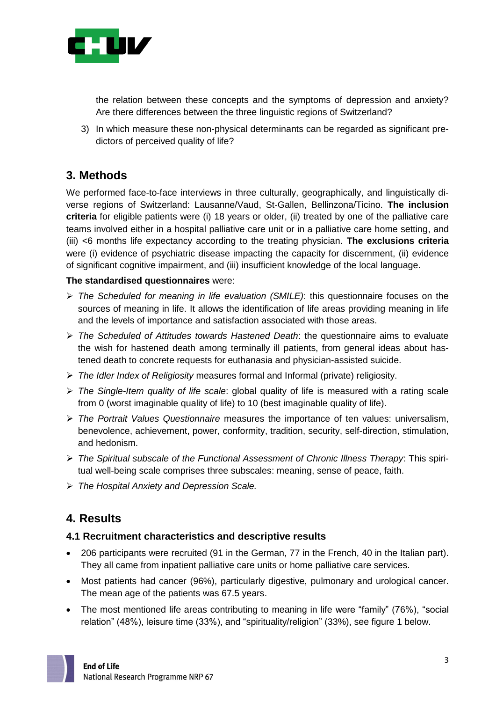

the relation between these concepts and the symptoms of depression and anxiety? Are there differences between the three linguistic regions of Switzerland?

3) In which measure these non-physical determinants can be regarded as significant predictors of perceived quality of life?

# **3. Methods**

We performed face-to-face interviews in three culturally, geographically, and linguistically diverse regions of Switzerland: Lausanne/Vaud, St-Gallen, Bellinzona/Ticino. **The inclusion criteria** for eligible patients were (i) 18 years or older, (ii) treated by one of the palliative care teams involved either in a hospital palliative care unit or in a palliative care home setting, and (iii) <6 months life expectancy according to the treating physician. **The exclusions criteria** were (i) evidence of psychiatric disease impacting the capacity for discernment, (ii) evidence of significant cognitive impairment, and (iii) insufficient knowledge of the local language.

#### **The standardised questionnaires** were:

- *The Scheduled for meaning in life evaluation (SMILE)*: this questionnaire focuses on the sources of meaning in life. It allows the identification of life areas providing meaning in life and the levels of importance and satisfaction associated with those areas.
- *The Scheduled of Attitudes towards Hastened Death*: the questionnaire aims to evaluate the wish for hastened death among terminally ill patients, from general ideas about hastened death to concrete requests for euthanasia and physician-assisted suicide.
- *The Idler Index of Religiosity* measures formal and Informal (private) religiosity.
- *The Single-Item quality of life scale*: global quality of life is measured with a rating scale from 0 (worst imaginable quality of life) to 10 (best imaginable quality of life).
- *The Portrait Values Questionnaire* measures the importance of ten values: universalism, benevolence, achievement, power, conformity, tradition, security, self-direction, stimulation, and hedonism.
- *The Spiritual subscale of the Functional Assessment of Chronic Illness Therapy*: This spiritual well-being scale comprises three subscales: meaning, sense of peace, faith.
- *The Hospital Anxiety and Depression Scale.*

### **4. Results**

#### **4.1 Recruitment characteristics and descriptive results**

- 206 participants were recruited (91 in the German, 77 in the French, 40 in the Italian part). They all came from inpatient palliative care units or home palliative care services.
- Most patients had cancer (96%), particularly digestive, pulmonary and urological cancer. The mean age of the patients was 67.5 years.
- The most mentioned life areas contributing to meaning in life were "family" (76%), "social relation" (48%), leisure time (33%), and "spirituality/religion" (33%), see figure 1 below.

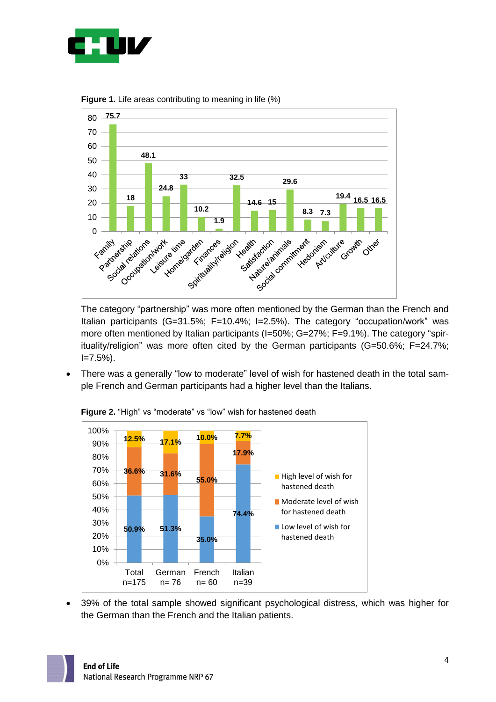



**Figure 1.** Life areas contributing to meaning in life (%)

The category "partnership" was more often mentioned by the German than the French and Italian participants (G=31.5%; F=10.4%; I=2.5%). The category "occupation/work" was more often mentioned by Italian participants (I=50%; G=27%; F=9.1%). The category "spirituality/religion" was more often cited by the German participants (G=50.6%; F=24.7%;  $I = 7.5\%$ ).

 There was a generally "low to moderate" level of wish for hastened death in the total sample French and German participants had a higher level than the Italians.



**Figure 2.** "High" vs "moderate" vs "low" wish for hastened death

 39% of the total sample showed significant psychological distress, which was higher for the German than the French and the Italian patients.

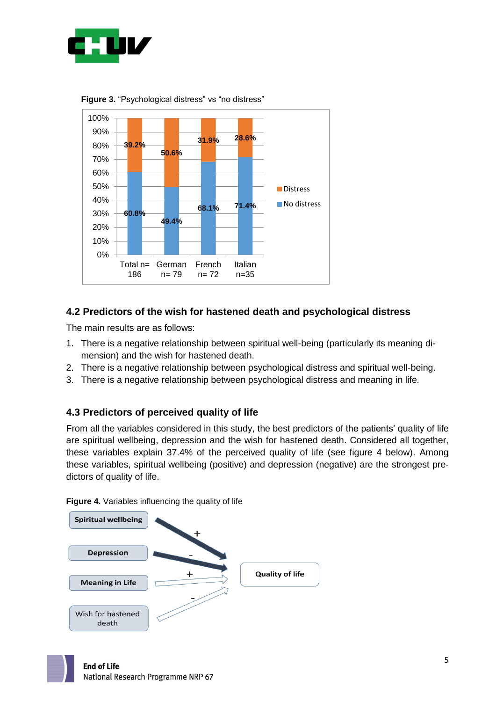

**60.8% 49.4% 68.1% 71.4% 39.2% 50.6% 31.9% 28.6%** 0% 10% 20% 30% 40% 50% 60% 70% 80% 90% 100% Total n= 186 German n= 79 French n= 72 Italian n=35 **Distress No distress** 

**Figure 3.** "Psychological distress" vs "no distress"

#### **4.2 Predictors of the wish for hastened death and psychological distress**

The main results are as follows:

- 1. There is a negative relationship between spiritual well-being (particularly its meaning dimension) and the wish for hastened death.
- 2. There is a negative relationship between psychological distress and spiritual well-being.
- 3. There is a negative relationship between psychological distress and meaning in life.

#### **4.3 Predictors of perceived quality of life**

From all the variables considered in this study, the best predictors of the patients' quality of life are spiritual wellbeing, depression and the wish for hastened death. Considered all together, these variables explain 37.4% of the perceived quality of life (see figure 4 below). Among these variables, spiritual wellbeing (positive) and depression (negative) are the strongest predictors of quality of life.

**Figure 4.** Variables influencing the quality of life

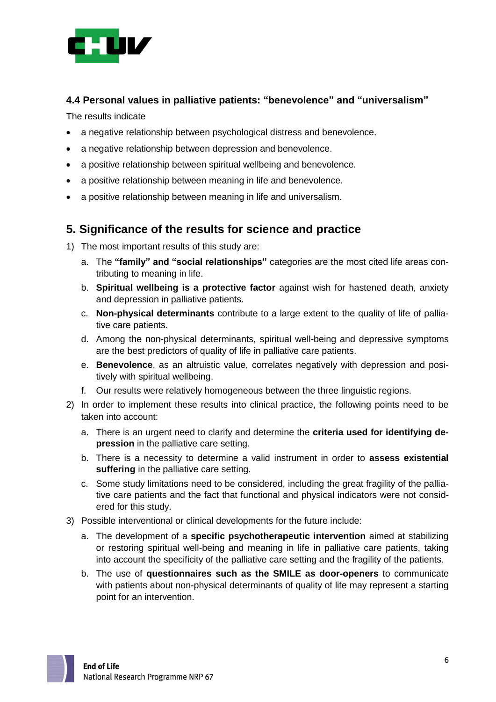

#### **4.4 Personal values in palliative patients: "benevolence" and "universalism"**

The results indicate

- a negative relationship between psychological distress and benevolence.
- a negative relationship between depression and benevolence.
- a positive relationship between spiritual wellbeing and benevolence.
- a positive relationship between meaning in life and benevolence.
- a positive relationship between meaning in life and universalism.

## **5. Significance of the results for science and practice**

- 1) The most important results of this study are:
	- a. The **"family" and "social relationships"** categories are the most cited life areas contributing to meaning in life.
	- b. **Spiritual wellbeing is a protective factor** against wish for hastened death, anxiety and depression in palliative patients.
	- c. **Non-physical determinants** contribute to a large extent to the quality of life of palliative care patients.
	- d. Among the non-physical determinants, spiritual well-being and depressive symptoms are the best predictors of quality of life in palliative care patients.
	- e. **Benevolence**, as an altruistic value, correlates negatively with depression and positively with spiritual wellbeing.
	- f. Our results were relatively homogeneous between the three linguistic regions.
- 2) In order to implement these results into clinical practice, the following points need to be taken into account:
	- a. There is an urgent need to clarify and determine the **criteria used for identifying depression** in the palliative care setting.
	- b. There is a necessity to determine a valid instrument in order to **assess existential suffering** in the palliative care setting.
	- c. Some study limitations need to be considered, including the great fragility of the palliative care patients and the fact that functional and physical indicators were not considered for this study.
- 3) Possible interventional or clinical developments for the future include:
	- a. The development of a **specific psychotherapeutic intervention** aimed at stabilizing or restoring spiritual well-being and meaning in life in palliative care patients, taking into account the specificity of the palliative care setting and the fragility of the patients.
	- b. The use of **questionnaires such as the SMILE as door-openers** to communicate with patients about non-physical determinants of quality of life may represent a starting point for an intervention.